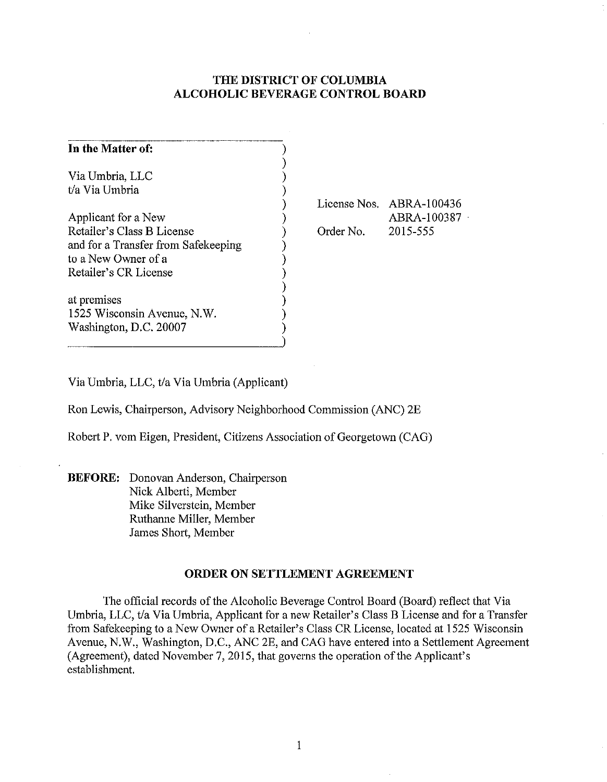# **THE DISTRICT OF COLUMBIA ALCOHOLIC BEVERAGE CONTROL BOARD**

| In the Matter of:                   |           |                          |
|-------------------------------------|-----------|--------------------------|
| Via Umbria, LLC                     |           |                          |
| t/a Via Umbria                      |           |                          |
|                                     |           | License Nos. ABRA-100436 |
| Applicant for a New                 |           | ABRA-100387              |
| Retailer's Class B License          | Order No. | 2015-555                 |
| and for a Transfer from Safekeeping |           |                          |
| to a New Owner of a                 |           |                          |
| Retailer's CR License               |           |                          |
|                                     |           |                          |
| at premises                         |           |                          |
| 1525 Wisconsin Avenue, N.W.         |           |                          |
| Washington, D.C. 20007              |           |                          |
|                                     |           |                          |

Via Umbria, LLC, *t/a* Via Umbria (Applicant)

Ron Lewis, Chairperson, Advisory Neighborhood Commission (ANC) 2E

Robert P. vom Eigen, President, Citizens Association of Georgetown (CAG)

**BEFORE:** Donovan Anderson, Chairperson Nick Alberti, Member Mike Silverstein, Member Ruthanne Miller, Member James Short, Member

## **ORDER ON SETTLEMENT AGREEMENT**

The official records of the Alcoholic Beverage Control Board (Board) reflect that Via Umbria, LLC, *t/a* Via Umbria, Applicant for a new Retailer's Class B License and for a Transfer from Safekeeping to a New Owner of a Retailer's Class CR License, located at 1525 Wisconsin Avenue, N.W., Washington, D.C., ANC 2E, and CAG have entered into a Settlement Agreement (Agreement), dated November 7, 2015, that governs the operation of the Applicant's establishment.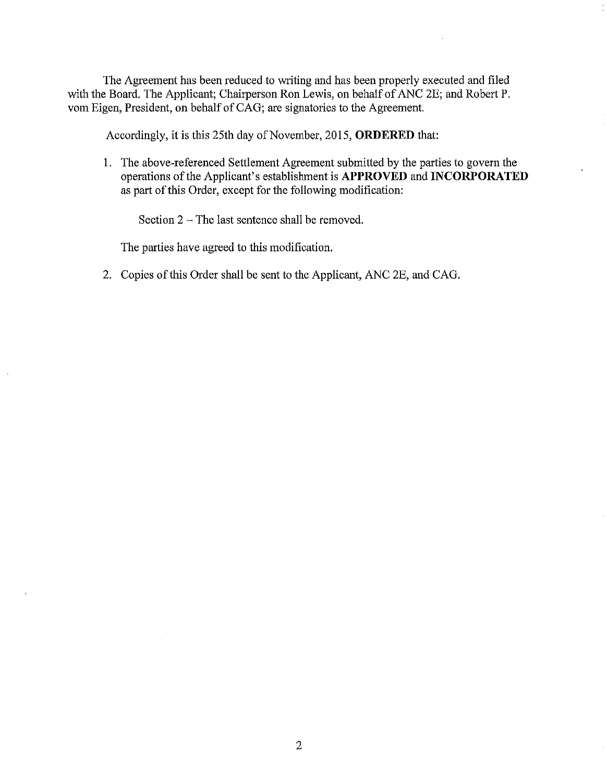The Agreement has been reduced to writing and has been properly executed and filed with the Board. The Applicant; Chairperson Ron Lewis, on behalf of ANC 2E; and Robert P. vom Eigen, President, on behalf of CAG; are signatories to the Agreement.

Accordingly, it is this 25th day of November, 2015, **ORDERED** that:

1. The above-referenced Settlement Agreement submitted by the parties to govern the operations of the Applicant's establishment is **APPROVED and INCORPORATED**  as part of this Order, except for the following modification:

Section 2 - The last sentence shall be removed.

The parties have agreed to this modification.

2. Copies of this Order shall be sent to the Applicant, ANC 2E, and CAG.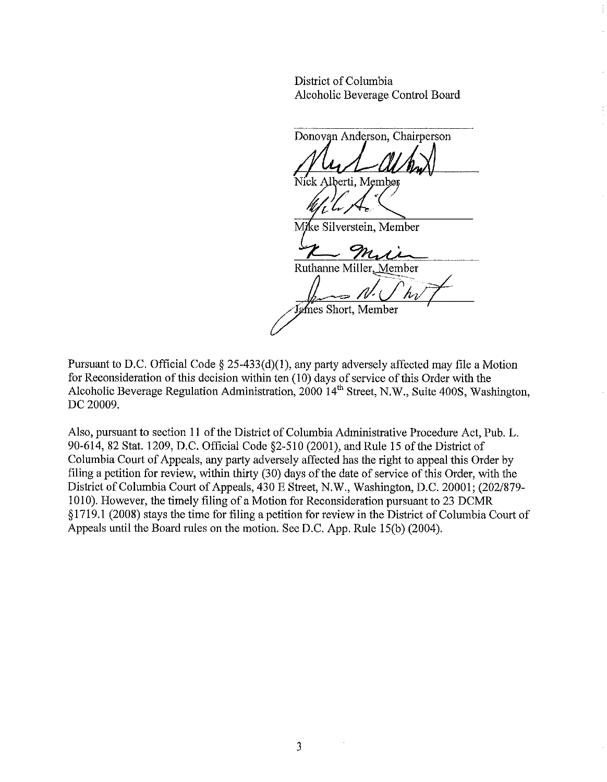District of Columbia Alcoholic Beverage Control Board

Donovan Anderson, Chairperson ck Alberti, Member  $\iota$  .  $\pi$ ke Silverstein, Member Mï Mr Ruthanne Miller, Member James Short, Member

Pursuant to D.C. Official Code § 25-433(d)(1), any party adversely affected may file a Motion for Reconsideration of this decision within ten (10) days of service of this Order with the Alcoholic Beverage Regulation Administration,  $2000$  14<sup>th</sup> Street, N.W., Suite 400S, Washington, DC 20009.

Also, pursuant to section 11 of the District of Columbia Administrative Procedure Act, Pub. L. 90-614,82 Stat. 1209, D.C. Official Code §2-5l0 (2001), and Rule 15 of the District of Columbia Court of Appeals, any party adversely affected has the right to appeal this Order by filing a petition for review, within thirty (30) days of the date of service of this Order, with the District of Columbia Court of Appeals, 430 E Street, N.W., Washington, D.C. 20001; (202/879- 10 10). However, the timely filing of a Motion for Reconsideration pursuant to 23 DCMR § 1719.1 (2008) stays the time for filing a petition for review in the District of Columbia Court of Appeals until the Board rules on the motion. See D.C. App. Rule l5(b) (2004).

3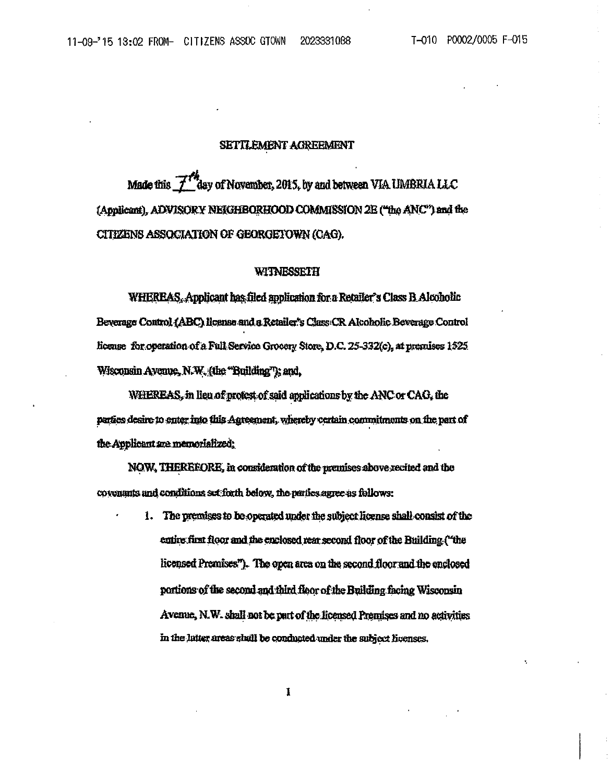### SETTLEMENT AGREEMENT

Made this 7<sup>77</sup>day of November, 2015, by and between VIA UMBRIA LLC (Applicant), ADVISORY NEIGHBORHOOD COMMISSION 2E ("the ANC") and the CITIZENS ASSOCIATION OF GEORGETOWN (CAG).

### WITNESSETH

WHEREAS, Applicant has filed application for a Retailer's Class B Alcoholic Beverage Control (ABC) license and a Retailer's Class CR Alcoholic Beverage Control license for operation of a Full Service Grocery Store, D.C. 25-332(c), at premises 1525 Wisconsin Avenue, N.W. (the "Building"); and,

WHEREAS, in lieu of protest of said applications by the ANC or CAO, the parties desire to enter into this Agreement, whereby cartain commitments on the part of the Applicant are memorialized;

NOW, THEREFORE, in consideration of the premises above recited and the covenants and conditions set forth below, the perfectagree as follows:

> 1. The premises to be operated under the subject license shall consist of the entire first floor and the enclosed rear second floor of the Building. ("the licensed Premises"). The open area on the second floor and the enclosed portions of the second and third floor of the Building facing Wisconsin Avenue, N.W. shall not be part of the licensed Premises and no activities in the latter areas shall be conducted under the subject licenses.

> > 1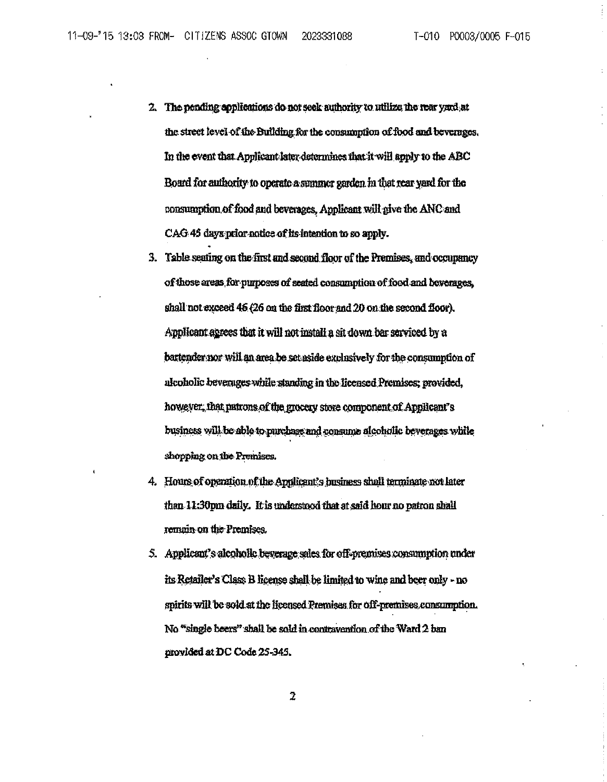2023331088

- 2. The pending applications do not seek authority to utilize the rear yard at the street level of the Building for the consumption of food and beverages. In the event that Applicant later determines that it will apply to the ABC Board for authority to operate a summer garden in that rear yard for the consumption of food and beverages, Applicant will give the ANC and CAG 45 days prior notice of its intention to so apply.
- 3. Table seating on the first and second floor of the Premises, and occupancy of those areas for purposes of seated consumption of food and beverages, shall not exceed 45 (26 on the first floor and 20 on the second floor). Applicant agrees that it will not install a sit down bar serviced by a battender nor will an area be set aside exclusively for the consumption of alcoholic beverages while standing in the licensed Premises; provided, however, that patrons of the grocery store component of Applicant's business will be able to purchase and consume alcoholic beverages while shopping on the Premises.
- 4. Hours of operation of the Applicant's business shall terminate not later than 11:30pm daily. It is understood that at said hour no patron shall remain on the Premises.
- 5. Applicant's alcoholic beverage sales for off-premises consumption under its Retailer's Class B license shall be limited to wine and beer only - no spirits will be sold at the licensed Premises for off-premises consumption. No "single beers" shall be sold in contravention of the Ward 2 ban provided at DC Code 25-345.

 $\overline{2}$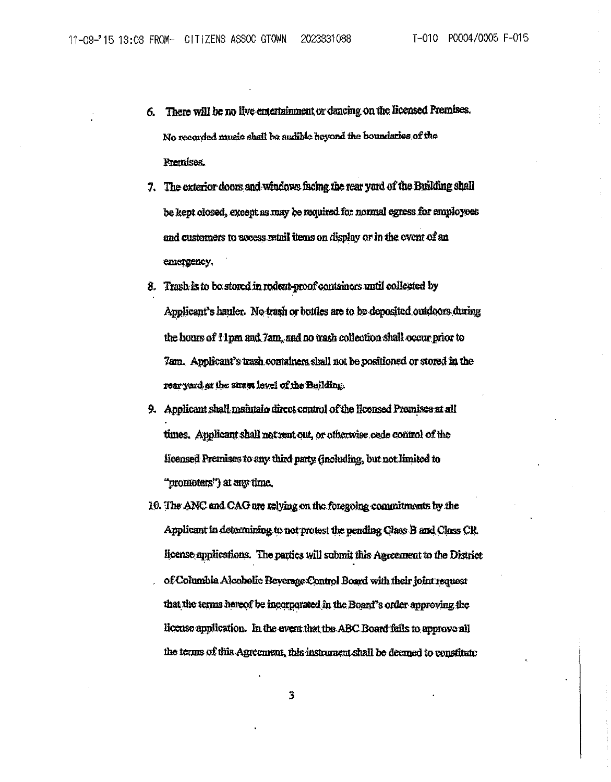- 6. There will be no live entertainment or dancing on the licensed Premises. No recorded music shall be audible beyond the boundaries of the Premises.
- 7. The exterior doors and windows facing the rear yard of the Building shall be kept closed, except as may be required for normal egress for employees and customers to access retail items on display or in the event of an emergency.
- 8. Trash is to be stored in rodent-proof containers until collected by Applicant's hauler. No trash or bottles are to be deposited outdoors during the hours of 11pm and 7am, and no trash collection shall occur prior to 7am. Applicant's trash containers shall not be positioned or stored in the rear yard at the street level of the Building.
- 9. Applicant shall maintain direct control of the licensed Premises at all times. Applicant shall not rent out, or otherwise cede control of the licensed Premises to any third party (including, but not limited to "promoters") at any time.
- 10. The ANC and CAG are relying on the foregoing commitments by the Applicant in determining to not protest the pending Class B and Class CR license applications. The parties will submit this Agreement to the District of Columbia Alcoholic Beverage Control Board with their joint request that the terms hereof be incorporated in the Board's order approving the license application. In the event that the ABC Board fails to approve all the terms of this Agreement, this instrument shall be deemed to constitute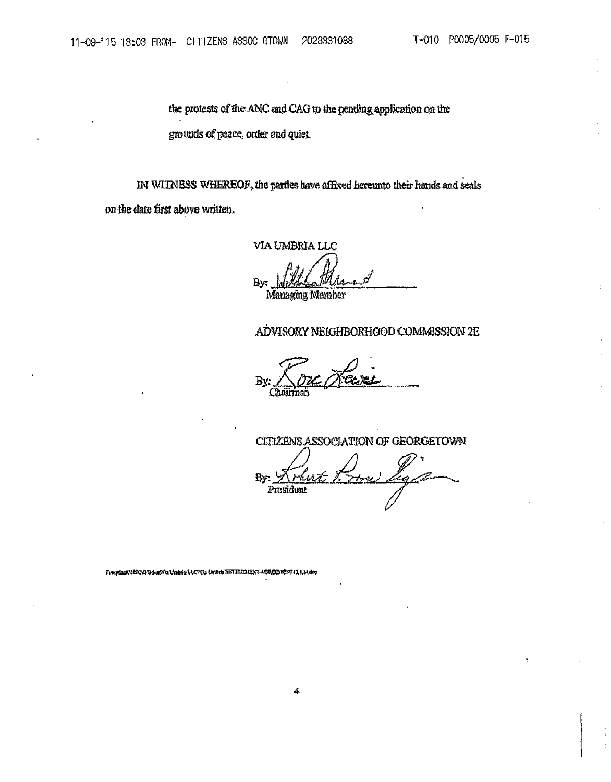the protests of the ANC and CAG to the pending application on the grounds of peace, order and quiet.

IN WITNESS WHEREOF, the parties have affixed hereunto their hands and seals on the date first above written.

VIA UMBRIA LLC

By

Managing Member

## ADVISORY NEIGHBORHOOD COMMISSION 2E

CITIZENS ASSOCIATION OF GEORGETOWN Bv. もい وسطير President

FinipinalViSCODdonVia t/abris LLCVia Unitid SETTEMIENT AGREENENTI3 1, 14 Acr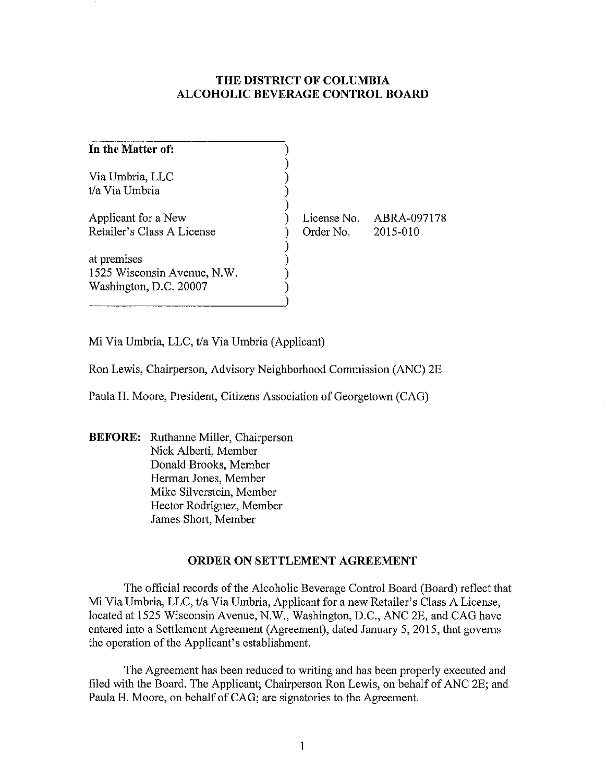# **THE DISTRICT OF COLUMBIA ALCOHOLIC BEVERAGE CONTROL BOARD**

| In the Matter of:                                                    |                                   |             |
|----------------------------------------------------------------------|-----------------------------------|-------------|
| Via Umbria, LLC<br>t/a Via Umbria                                    |                                   |             |
| Applicant for a New<br>Retailer's Class A License                    | License No.<br>Order No. 2015-010 | ABRA-097178 |
| at premises<br>1525 Wisconsin Avenue, N.W.<br>Washington, D.C. 20007 |                                   |             |

Mi Via Umbria, LLC, t/a Via Umbria (Applicant)

Ron Lewis, Chairperson, Advisory Neighborhood Commission (ANC) 2E

Paula H. Moore, President, Citizens Association of Georgetown (CAG)

**BEFORE:** Ruthanne Miller, Chairperson Nick Alberti, Member Donald Brooks, Member Herman Jones, Member Mike Silverstein, Member Hector Rodriguez, Member James Short, Member

# **ORDER ON SETTLEMENT AGREEMENT**

The official records of the Alcoholic Beverage Control Board (Board) reflect that Mi Via Umbria, LLC, t/a Via Umbria, Applicant for a new Retailer's Class A License, located at 1525 Wisconsin Avenue, N.W., Washington, D.C., ANC 2E, and CAG have entered into a Settlement Agreement (Agreement), dated January 5, 2015, that governs the operation of the Applicant's establishment.

The Agreement has been reduced to writing and has been properly executed and filed with the Board. The Applicant; Chairperson Ron Lewis, on behalf of ANC 2E; and Paula H. Moore, on behalf of CAG; are signatories to the Agreement.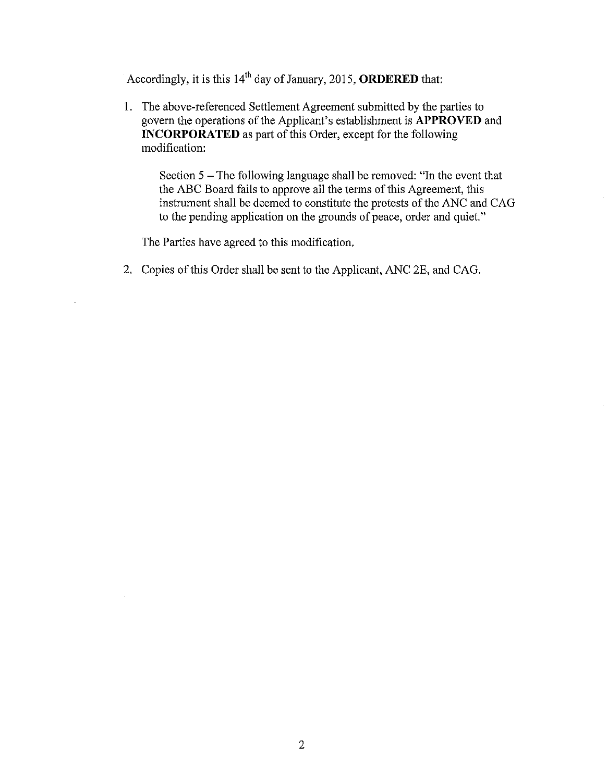Accordingly, it is this 14th day of January, 2015, **ORDERED** that:

I. The above-referenced Settlement Agreement submitted by the parties to govern the operations of the Applicant's establishment is **APPROVED** and **INCORPORATED** as part of this Order, except for the following modification:

Section  $5$  – The following language shall be removed: "In the event that the ABC Board fails to approve all the terms of this Agreement, this instrument shall be deemed to constitute the protests of the ANC and CAG to the pending application on the grounds of peace, order and quiet."

The Parties have agreed to this modification.

2. Copies of this Order shall be sent to the Applicant, ANC 2E, and CAG.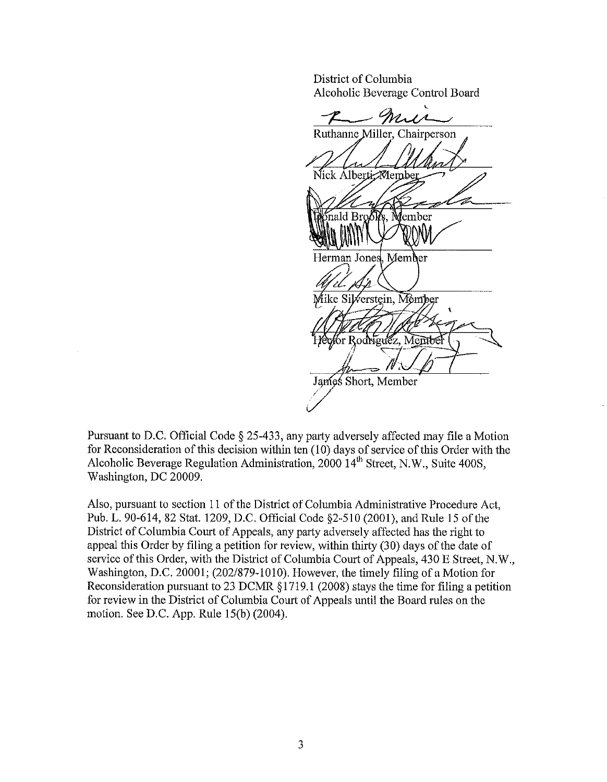District of Columbia Alcoholic Beverage Control Board

mur Ruthanne Miller, Chairperson Nick Alberti Membe mald Bro Member Herman Jones, Member Mike Silverstein, Member for Rodriguez, Member James Short, Member

Pursuant to D.C. Official Code § 25-433, any party adversely affected may file a Motion for Reconsideration of this decision within ten (10) days of service of this Order with the Alcoholic Beverage Regulation Administration, 2000 14<sup>th</sup> Street, N.W., Suite 400S, Washington, DC 20009.

Also, pursuant to section 11 of the District of Columbia Administrative Procedure Act, Pub. L. 90-614, 82 Stat. 1209, D.C. Official Code §2-510 (2001), and Rule 15 of the District of Columbia Court of Appeals, any party adversely affected has the right to appeal this Order by filing a petition for review, within thirty (30) days of the date of service of this Order, with the District of Columbia Court of Appeals, 430 E Street, N.W., Washington, D.C. 20001; (202/879-1010). However, the timely filing of a Motion for Reconsideration pursuant to 23 DCMR § 1719.1 (2008) stays the time for filing a petition for review in the District of Cohunbia Court of Appeals until the Board rules on the motion. See D.C. App. Rule 15(b) (2004).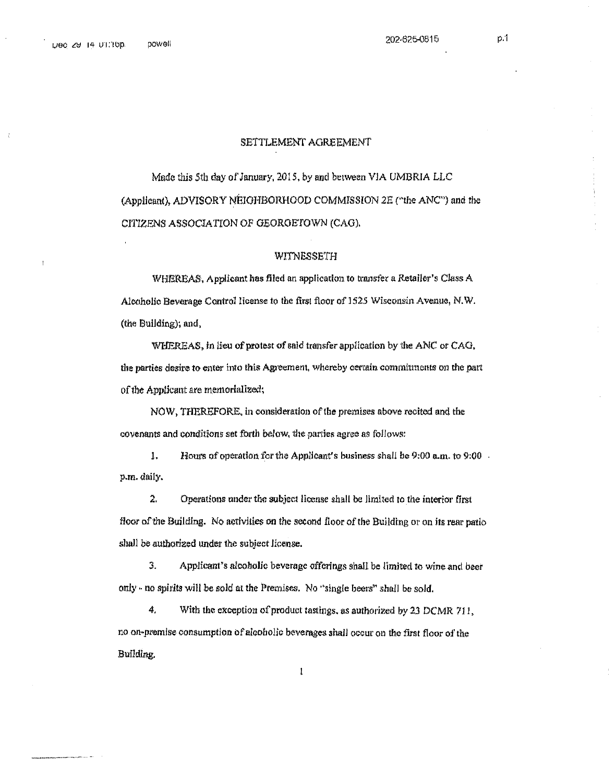202-625-0815

#### SETTLEMENT AGREEMENT

Made this 5th day of January, 2015, by and between VIA UMBRIA LLC (Applicant), ADVISORY NEIGHBORHOOD COMMISSION 2E ("the ANC") and the CITIZENS ASSOCIATION OF GEORGETOWN (CAG).

#### WITNESSETH

WHEREAS, Applicant has filed an application to transfer a Retailer's Class A Alcoholic Beverage Control license to the first floor of 1525 Wisconsin Avenue, N.W. (the Building); and,

WHEREAS, in lieu of protest of said transfer application by the ANC or CAG. the parties desire to enter into this Agreement, whereby certain commitments on the part of the Applicant are memorialized;

NOW, THEREFORE, in consideration of the premises above recited and the covenants and conditions set forth below, the parties agree as follows:

1. Hours of operation for the Applicant's business shall be 9:00 a.m. to 9:00. p.m. daily.

 $\mathfrak{D}$ Operations under the subject license shall be limited to the interior first floor of the Building. No activities on the second floor of the Building or on its rear patio shall be authorized under the subject license.

 $3.$ Applicant's alcoholic beverage offerings shall be limited to wine and beer only - no spirits will be sold at the Premises. No "single beers" shall be sold.

4. With the exception of product tastings, as authorized by 23 DCMR 711, no on-premise consumption of alcoholic beverages shall occur on the first floor of the Building.